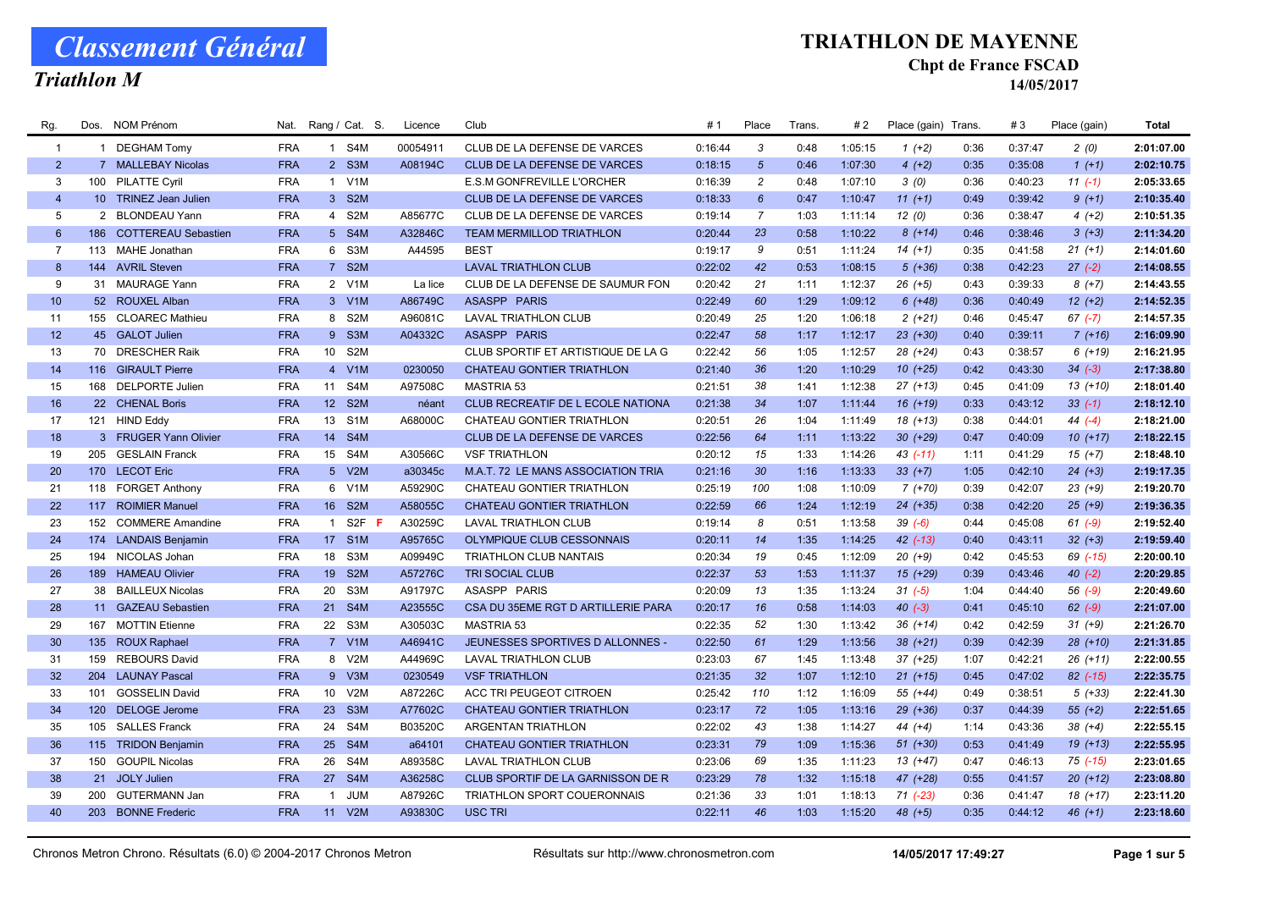Triathlon M

### TRIATHLON DE MAYENNE

#### Chpt de France FSCAD

| Rg.            | Dos. | NOM Prénom              | Nat.       |                  | Rang / Cat. S.        | Licence  | Club                                | #1      | Place           | Trans. | #2      | Place (gain) Trans |      | #3      | Place (gain) | <b>Total</b> |
|----------------|------|-------------------------|------------|------------------|-----------------------|----------|-------------------------------------|---------|-----------------|--------|---------|--------------------|------|---------|--------------|--------------|
| $\overline{1}$ |      | 1 DEGHAM Tomy           | <b>FRA</b> |                  | 1 S4M                 | 00054911 | CLUB DE LA DEFENSE DE VARCES        | 0:16:44 | 3               | 0:48   | 1:05:15 | $1(+2)$            | 0:36 | 0:37:47 | 2(0)         | 2:01:07.00   |
| $\overline{2}$ |      | 7 MALLEBAY Nicolas      | <b>FRA</b> |                  | 2 S3M                 | A08194C  | <b>CLUB DE LA DEFENSE DE VARCES</b> | 0:18:15 | $\sqrt{5}$      | 0:46   | 1:07:30 | $4(+2)$            | 0:35 | 0:35:08 | $1(+1)$      | 2:02:10.75   |
| 3              | 100  | <b>PILATTE Cyril</b>    | <b>FRA</b> | $\mathbf{1}$     | V1M                   |          | <b>E.S.M GONFREVILLE L'ORCHER</b>   | 0:16:39 | $\overline{2}$  | 0:48   | 1:07:10 | 3(0)               | 0:36 | 0:40:23 | $11(-1)$     | 2:05:33.65   |
| $\overline{4}$ |      | 10 TRINEZ Jean Julien   | <b>FRA</b> |                  | 3 S2M                 |          | <b>CLUB DE LA DEFENSE DE VARCES</b> | 0:18:33 | $6\overline{6}$ | 0:47   | 1:10:47 | $11 (+1)$          | 0:49 | 0:39:42 | $9(+1)$      | 2:10:35.40   |
| 5              |      | 2 BLONDEAU Yann         | <b>FRA</b> | $\overline{4}$   | S <sub>2</sub> M      | A85677C  | CLUB DE LA DEFENSE DE VARCES        | 0:19:14 | $\overline{7}$  | 1:03   | 1:11:14 | 12(0)              | 0:36 | 0:38:47 | $4(+2)$      | 2:10:51.35   |
| $6\phantom{1}$ |      | 186 COTTEREAU Sebastien | <b>FRA</b> |                  | 5 S4M                 | A32846C  | <b>TEAM MERMILLOD TRIATHLON</b>     | 0:20:44 | 23              | 0:58   | 1:10:22 | $8(+14)$           | 0:46 | 0:38:46 | $3(+3)$      | 2:11:34.20   |
| $\overline{7}$ | 113  | MAHE Jonathan           | <b>FRA</b> | 6                | S3M                   | A44595   | <b>BEST</b>                         | 0:19:17 | 9               | 0:51   | 1:11:24 | $14(+1)$           | 0:35 | 0:41:58 | $21 (+1)$    | 2:14:01.60   |
| 8              |      | 144 AVRIL Steven        | <b>FRA</b> | 7 <sup>7</sup>   | S <sub>2</sub> M      |          | <b>LAVAL TRIATHLON CLUB</b>         | 0:22:02 | 42              | 0:53   | 1:08:15 | $5(+36)$           | 0:38 | 0:42:23 | $27 (-2)$    | 2:14:08.55   |
| 9              |      | 31 MAURAGE Yann         | <b>FRA</b> |                  | 2 V1M                 | La lice  | CLUB DE LA DEFENSE DE SAUMUR FON    | 0:20:42 | 21              | 1:11   | 1:12:37 | $26 (+5)$          | 0:43 | 0:39:33 | $8 (+7)$     | 2:14:43.55   |
| 10             |      | 52 ROUXEL Alban         | <b>FRA</b> |                  | 3 V1M                 | A86749C  | <b>ASASPP PARIS</b>                 | 0:22:49 | 60              | 1:29   | 1:09:12 | $6(+48)$           | 0:36 | 0:40:49 | $12(+2)$     | 2:14:52.35   |
| 11             |      | 155 CLOAREC Mathieu     | <b>FRA</b> | 8                | S <sub>2</sub> M      | A96081C  | <b>LAVAL TRIATHLON CLUB</b>         | 0:20:49 | 25              | 1:20   | 1:06:18 | $2(+21)$           | 0:46 | 0:45:47 | $67$ $(-7)$  | 2:14:57.35   |
| 12             |      | 45 GALOT Julien         | <b>FRA</b> | 9 <sup>°</sup>   | S <sub>3</sub> M      | A04332C  | <b>ASASPP PARIS</b>                 | 0:22:47 | 58              | 1:17   | 1:12:17 | $23$ $(+30)$       | 0:40 | 0:39:11 | $7(+16)$     | 2:16:09.90   |
| 13             | 70   | <b>DRESCHER Raik</b>    | <b>FRA</b> | 10 <sup>1</sup>  | S <sub>2</sub> M      |          | CLUB SPORTIF ET ARTISTIQUE DE LA G  | 0:22:42 | 56              | 1:05   | 1:12:57 | 28 (+24)           | 0:43 | 0:38:57 | $6(+19)$     | 2:16:21.95   |
| 14             |      | 116 GIRAULT Pierre      | <b>FRA</b> |                  | 4 V1M                 | 0230050  | CHATEAU GONTIER TRIATHLON           | 0:21:40 | 36              | 1:20   | 1:10:29 | $10(+25)$          | 0:42 | 0:43:30 | $34 (-3)$    | 2:17:38.80   |
| 15             | 168  | <b>DELPORTE Julien</b>  | <b>FRA</b> | 11               | S4M                   | A97508C  | <b>MASTRIA 53</b>                   | 0:21:51 | 38              | 1:41   | 1:12:38 | $27 (+13)$         | 0:45 | 0:41:09 | $13(+10)$    | 2:18:01.40   |
| 16             |      | 22 CHENAL Boris         | <b>FRA</b> | 12 <sup>2</sup>  | S <sub>2</sub> M      | néant    | CLUB RECREATIF DE L ECOLE NATIONA   | 0:21:38 | 34              | 1:07   | 1:11:44 | $16 (+19)$         | 0:33 | 0:43:12 | $33(-1)$     | 2:18:12.10   |
| 17             |      | 121 HIND Eddy           | <b>FRA</b> | 13               | S <sub>1</sub> M      | A68000C  | <b>CHATEAU GONTIER TRIATHLON</b>    | 0:20:51 | 26              | 1:04   | 1:11:49 | $18(+13)$          | 0:38 | 0:44:01 | $44 (-4)$    | 2:18:21.00   |
| 18             |      | 3 FRUGER Yann Olivier   | <b>FRA</b> | 14               | S4M                   |          | CLUB DE LA DEFENSE DE VARCES        | 0:22:56 | 64              | 1:11   | 1:13:22 | $30 (+29)$         | 0:47 | 0:40:09 | $10(+17)$    | 2:18:22.15   |
| 19             |      | 205 GESLAIN Franck      | <b>FRA</b> | 15 <sub>15</sub> | S4M                   | A30566C  | <b>VSF TRIATHLON</b>                | 0:20:12 | 15              | 1:33   | 1:14:26 | $43( -11)$         | 1:11 | 0:41:29 | $15(+7)$     | 2:18:48.10   |
| 20             |      | 170 LECOT Eric          | <b>FRA</b> |                  | 5 V2M                 | a30345c  | M.A.T. 72 LE MANS ASSOCIATION TRIA  | 0:21:16 | 30              | 1:16   | 1:13:33 | $33 (+7)$          | 1:05 | 0:42:10 | $24 (+3)$    | 2:19:17.35   |
| 21             |      | 118 FORGET Anthony      | <b>FRA</b> | 6                | V1M                   | A59290C  | CHATEAU GONTIER TRIATHLON           | 0:25:19 | 100             | 1:08   | 1:10:09 | $7(+70)$           | 0:39 | 0:42:07 | $23 (+9)$    | 2:19:20.70   |
| 22             |      | 117 ROIMIER Manuel      | <b>FRA</b> | 16               | S <sub>2</sub> M      | A58055C  | <b>CHATEAU GONTIER TRIATHLON</b>    | 0:22:59 | 66              | 1:24   | 1:12:19 | $24$ $(+35)$       | 0:38 | 0:42:20 | $25(+9)$     | 2:19:36.35   |
| 23             |      | 152 COMMERE Amandine    | <b>FRA</b> | $\overline{1}$   | S <sub>2F</sub><br>-F | A30259C  | <b>LAVAL TRIATHLON CLUB</b>         | 0:19:14 | 8               | 0:51   | 1:13:58 | $39( -6)$          | 0:44 | 0:45:08 | $61 (-9)$    | 2:19:52.40   |
| 24             |      | 174 LANDAIS Benjamin    | <b>FRA</b> | 17 <sup>2</sup>  | S <sub>1</sub> M      | A95765C  | OLYMPIQUE CLUB CESSONNAIS           | 0:20:11 | 14              | 1:35   | 1:14:25 | $42$ $(-13)$       | 0:40 | 0:43:11 | $32 (+3)$    | 2:19:59.40   |
| 25             | 194  | NICOLAS Johan           | <b>FRA</b> | 18               | S <sub>3</sub> M      | A09949C  | <b>TRIATHLON CLUB NANTAIS</b>       | 0:20:34 | 19              | 0:45   | 1:12:09 | $20(+9)$           | 0:42 | 0:45:53 | 69 (-15)     | 2:20:00.10   |
| 26             |      | 189 HAMEAU Olivier      | <b>FRA</b> | 19               | S <sub>2</sub> M      | A57276C  | <b>TRI SOCIAL CLUB</b>              | 0:22:37 | 53              | 1:53   | 1:11:37 | $15(+29)$          | 0:39 | 0:43:46 | $40(-2)$     | 2:20:29.85   |
| 27             |      | 38 BAILLEUX Nicolas     | <b>FRA</b> | 20               | S <sub>3</sub> M      | A91797C  | ASASPP PARIS                        | 0:20:09 | 13              | 1:35   | 1:13:24 | $31 (-5)$          | 1:04 | 0:44:40 | $56$ $(-9)$  | 2:20:49.60   |
| 28             |      | 11 GAZEAU Sebastien     | <b>FRA</b> | 21               | S <sub>4</sub> M      | A23555C  | CSA DU 35EME RGT D ARTILLERIE PARA  | 0:20:17 | 16              | 0:58   | 1:14:03 | $40(-3)$           | 0:41 | 0:45:10 | $62 (-9)$    | 2:21:07.00   |
| 29             | 167  | <b>MOTTIN Etienne</b>   | <b>FRA</b> | 22               | S <sub>3</sub> M      | A30503C  | <b>MASTRIA 53</b>                   | 0:22:35 | 52              | 1:30   | 1:13:42 | $36 (+14)$         | 0:42 | 0:42:59 | $31 (+9)$    | 2:21:26.70   |
| 30             |      | 135 ROUX Raphael        | <b>FRA</b> |                  | 7 V1M                 | A46941C  | JEUNESSES SPORTIVES D ALLONNES -    | 0:22:50 | 61              | 1:29   | 1:13:56 | $38 (+21)$         | 0:39 | 0:42:39 | $28(+10)$    | 2:21:31.85   |
| 31             | 159  | <b>REBOURS David</b>    | <b>FRA</b> | 8                | V2M                   | A44969C  | <b>LAVAL TRIATHLON CLUB</b>         | 0:23:03 | 67              | 1:45   | 1:13:48 | $37 (+25)$         | 1:07 | 0:42:21 | $26 (+11)$   | 2:22:00.55   |
| 32             | 204  | <b>LAUNAY Pascal</b>    | <b>FRA</b> | $9^{\circ}$      | V3M                   | 0230549  | <b>VSF TRIATHLON</b>                | 0:21:35 | 32              | 1:07   | 1:12:10 | $21 (+15)$         | 0:45 | 0:47:02 | $82$ (-15)   | 2:22:35.75   |
| 33             |      | 101 GOSSELIN David      | <b>FRA</b> | 10 <sup>1</sup>  | V2M                   | A87226C  | ACC TRI PEUGEOT CITROEN             | 0:25:42 | 110             | 1:12   | 1:16:09 | 55 (+44)           | 0:49 | 0:38:51 | $5(+33)$     | 2:22:41.30   |
| 34             | 120  | <b>DELOGE Jerome</b>    | <b>FRA</b> | 23               | S <sub>3</sub> M      | A77602C  | <b>CHATEAU GONTIER TRIATHLON</b>    | 0:23:17 | 72              | 1:05   | 1:13:16 | $29$ $(+36)$       | 0:37 | 0:44:39 | $55 (+2)$    | 2:22:51.65   |
| 35             | 105  | <b>SALLES Franck</b>    | <b>FRA</b> | 24               | S <sub>4</sub> M      | B03520C  | <b>ARGENTAN TRIATHLON</b>           | 0:22:02 | 43              | 1:38   | 1:14:27 | $44 (+4)$          | 1:14 | 0:43:36 | $38 (+4)$    | 2:22:55.15   |
| 36             |      | 115 TRIDON Benjamin     | <b>FRA</b> |                  | 25 S4M                | a64101   | <b>CHATEAU GONTIER TRIATHLON</b>    | 0:23:31 | 79              | 1:09   | 1:15:36 | $51 (+30)$         | 0:53 | 0:41:49 | $19(+13)$    | 2:22:55.95   |
| 37             | 150  | <b>GOUPIL Nicolas</b>   | <b>FRA</b> | 26               | S4M                   | A89358C  | LAVAL TRIATHLON CLUB                | 0:23:06 | 69              | 1:35   | 1:11:23 | $13 (+47)$         | 0:47 | 0:46:13 | $75$ $(-15)$ | 2:23:01.65   |
| 38             |      | 21 JOLY Julien          | <b>FRA</b> | 27               | S4M                   | A36258C  | CLUB SPORTIF DE LA GARNISSON DE R   | 0:23:29 | 78              | 1:32   | 1:15:18 | 47 (+28)           | 0:55 | 0:41:57 | $20(+12)$    | 2:23:08.80   |
| 39             | 200  | <b>GUTERMANN Jan</b>    | <b>FRA</b> | $\overline{1}$   | <b>JUM</b>            | A87926C  | TRIATHLON SPORT COUERONNAIS         | 0:21:36 | 33              | 1:01   | 1:18:13 | $71$ $(-23)$       | 0:36 | 0:41:47 | $18(+17)$    | 2:23:11.20   |
| 40             |      | 203 BONNE Frederic      | <b>FRA</b> |                  | 11 V2M                | A93830C  | <b>USC TRI</b>                      | 0:22:11 | 46              | 1:03   | 1:15:20 | $48 (+5)$          | 0:35 | 0:44:12 | $46 (+1)$    | 2:23:18.60   |
|                |      |                         |            |                  |                       |          |                                     |         |                 |        |         |                    |      |         |              |              |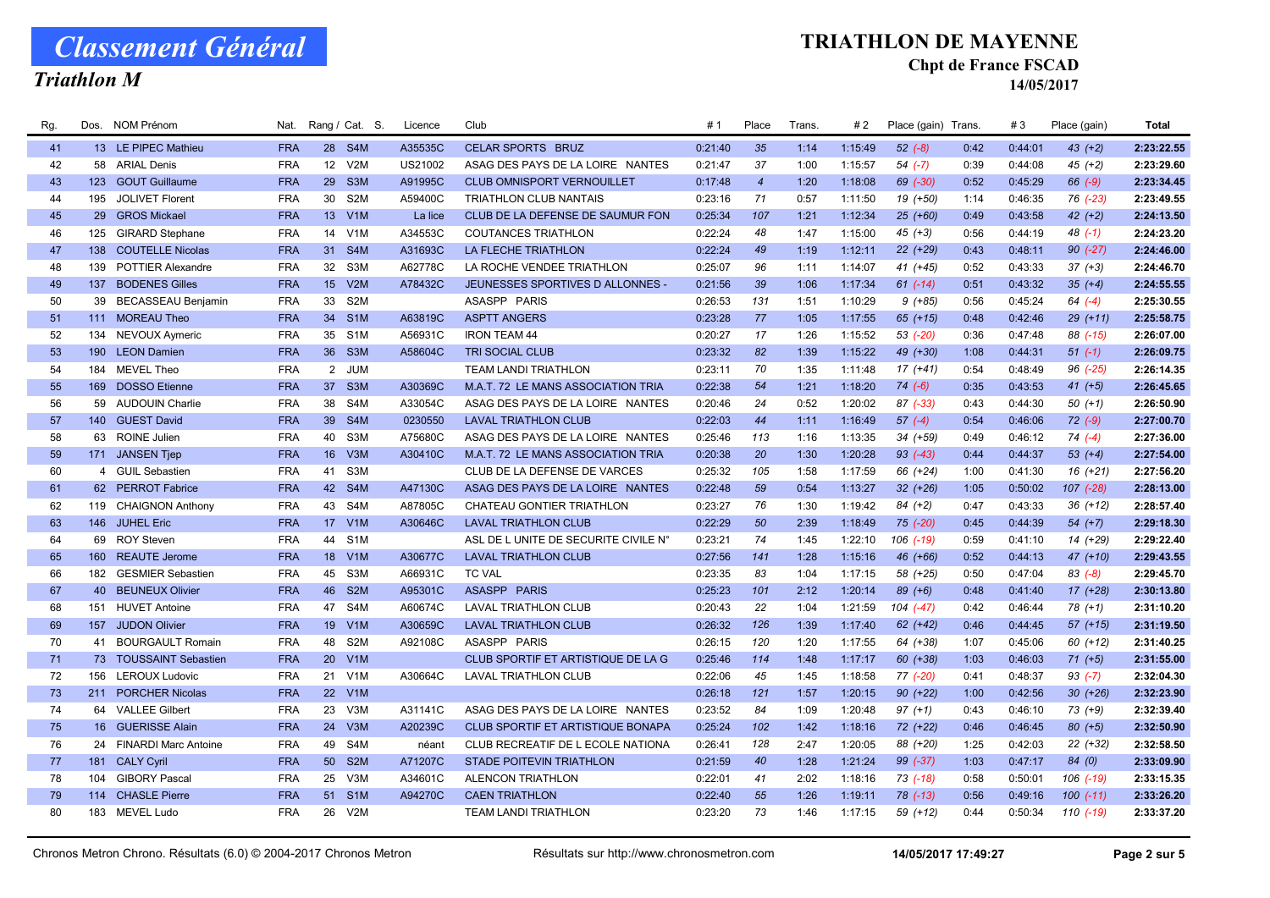Triathlon M

#### TRIATHLON DE MAYENNE

#### Chpt de France FSCAD

| Rg. | Dos. | <b>NOM Prénom</b>         | Nat.       |                 | Rang / Cat. S.   | Licence | Club                                | #1      | Place          | Trans. | # 2     | Place (gain) Trans. |      | #3      | Place (gain)  | <b>Total</b> |
|-----|------|---------------------------|------------|-----------------|------------------|---------|-------------------------------------|---------|----------------|--------|---------|---------------------|------|---------|---------------|--------------|
| 41  |      | 13 LE PIPEC Mathieu       | <b>FRA</b> |                 | 28 S4M           | A35535C | <b>CELAR SPORTS BRUZ</b>            | 0:21:40 | 35             | 1:14   | 1:15:49 | $52 (-8)$           | 0:42 | 0:44:01 | $43 (+2)$     | 2:23:22.55   |
| 42  |      | 58 ARIAL Denis            | <b>FRA</b> |                 | 12 V2M           | US21002 | ASAG DES PAYS DE LA LOIRE NANTES    | 0:21:47 | 37             | 1:00   | 1:15:57 | $54 (-7)$           | 0:39 | 0:44:08 | $45 (+2)$     | 2:23:29.60   |
| 43  | 123  | <b>GOUT Guillaume</b>     | <b>FRA</b> | 29              | S <sub>3</sub> M | A91995C | <b>CLUB OMNISPORT VERNOUILLET</b>   | 0:17:48 | $\overline{4}$ | 1:20   | 1:18:08 | 69 (-30)            | 0:52 | 0:45:29 | 66 (-9)       | 2:23:34.45   |
| 44  | 195  | JOLIVET Florent           | <b>FRA</b> | 30 <sup>°</sup> | S <sub>2</sub> M | A59400C | TRIATHLON CLUB NANTAIS              | 0:23:16 | 71             | 0:57   | 1:11:50 | 19 (+50)            | 1:14 | 0:46:35 | 76 (-23)      | 2:23:49.55   |
| 45  | 29   | <b>GROS Mickael</b>       | <b>FRA</b> |                 | 13 V1M           | La lice | CLUB DE LA DEFENSE DE SAUMUR FON    | 0:25:34 | 107            | 1:21   | 1:12:34 | $25 (+60)$          | 0:49 | 0:43:58 | $42 (+2)$     | 2:24:13.50   |
| 46  |      | 125 GIRARD Stephane       | <b>FRA</b> |                 | 14 V1M           | A34553C | <b>COUTANCES TRIATHLON</b>          | 0:22:24 | 48             | 1:47   | 1:15:00 | $45 (+3)$           | 0:56 | 0:44:19 | $48$ $(-1)$   | 2:24:23.20   |
| 47  |      | 138 COUTELLE Nicolas      | <b>FRA</b> |                 | 31 S4M           | A31693C | <b>LA FLECHE TRIATHLON</b>          | 0:22:24 | 49             | 1:19   | 1:12:11 | $22 (+29)$          | 0:43 | 0:48:11 | $90 (-27)$    | 2:24:46.00   |
| 48  | 139  | <b>POTTIER Alexandre</b>  | <b>FRA</b> | 32              | S3M              | A62778C | LA ROCHE VENDEE TRIATHLON           | 0:25:07 | 96             | 1:11   | 1:14:07 | 41 (+45)            | 0:52 | 0:43:33 | $37 (+3)$     | 2:24:46.70   |
| 49  | 137  | <b>BODENES Gilles</b>     | <b>FRA</b> |                 | 15 V2M           | A78432C | JEUNESSES SPORTIVES D ALLONNES -    | 0:21:56 | 39             | 1:06   | 1:17:34 | $61$ $(-14)$        | 0:51 | 0:43:32 | $35 (+4)$     | 2:24:55.55   |
| 50  | 39   | <b>BECASSEAU Benjamin</b> | <b>FRA</b> | 33              | S <sub>2</sub> M |         | ASASPP PARIS                        | 0:26:53 | 131            | 1:51   | 1:10:29 | $9 (+85)$           | 0:56 | 0:45:24 | $64$ $(-4)$   | 2:25:30.55   |
| 51  |      | 111 MOREAU Theo           | <b>FRA</b> |                 | 34 S1M           | A63819C | <b>ASPTT ANGERS</b>                 | 0:23:28 | 77             | 1:05   | 1:17:55 | $65$ $(+15)$        | 0:48 | 0:42:46 | $29(+11)$     | 2:25:58.75   |
| 52  |      | 134 NEVOUX Aymeric        | <b>FRA</b> | 35              | S <sub>1</sub> M | A56931C | <b>IRON TEAM 44</b>                 | 0:20:27 | 17             | 1:26   | 1:15:52 | $53$ $(-20)$        | 0:36 | 0:47:48 | 88 (-15)      | 2:26:07.00   |
| 53  | 190  | <b>LEON Damien</b>        | <b>FRA</b> | 36              | S3M              | A58604C | <b>TRI SOCIAL CLUB</b>              | 0:23:32 | 82             | 1:39   | 1:15:22 | 49 (+30)            | 1:08 | 0:44:31 | $51(-1)$      | 2:26:09.75   |
| 54  | 184  | <b>MEVEL Theo</b>         | <b>FRA</b> |                 | 2 JUM            |         | <b>TEAM LANDI TRIATHLON</b>         | 0:23:11 | 70             | 1:35   | 1:11:48 | $17(+41)$           | 0:54 | 0:48:49 | $96$ $(-25)$  | 2:26:14.35   |
| 55  | 169  | <b>DOSSO</b> Etienne      | <b>FRA</b> | 37 <sup>2</sup> | S3M              | A30369C | M.A.T. 72 LE MANS ASSOCIATION TRIA  | 0:22:38 | 54             | 1:21   | 1:18:20 | $74(-6)$            | 0:35 | 0:43:53 | $41 (+5)$     | 2:26:45.65   |
| 56  |      | 59 AUDOUIN Charlie        | <b>FRA</b> | 38              | S4M              | A33054C | ASAG DES PAYS DE LA LOIRE NANTES    | 0:20:46 | 24             | 0:52   | 1:20:02 | 87 (-33)            | 0:43 | 0:44:30 | $50(+1)$      | 2:26:50.90   |
| 57  |      | 140 GUEST David           | <b>FRA</b> |                 | 39 S4M           | 0230550 | <b>LAVAL TRIATHLON CLUB</b>         | 0:22:03 | 44             | 1:11   | 1:16:49 | $57(-4)$            | 0:54 | 0:46:06 | $72$ $(-9)$   | 2:27:00.70   |
| 58  | 63   | ROINE Julien              | <b>FRA</b> | 40              | S3M              | A75680C | ASAG DES PAYS DE LA LOIRE NANTES    | 0:25:46 | 113            | 1:16   | 1:13:35 | 34 (+59)            | 0:49 | 0:46:12 | $74(-4)$      | 2:27:36.00   |
| 59  |      | 171 JANSEN Tjep           | <b>FRA</b> |                 | 16 V3M           | A30410C | M.A.T. 72 LE MANS ASSOCIATION TRIA  | 0:20:38 | 20             | 1:30   | 1:20:28 | $93( -43)$          | 0:44 | 0:44:37 | $53(+4)$      | 2:27:54.00   |
| 60  |      | 4 GUIL Sebastien          | <b>FRA</b> | 41              | S3M              |         | CLUB DE LA DEFENSE DE VARCES        | 0:25:32 | 105            | 1:58   | 1:17:59 | 66 (+24)            | 1:00 | 0:41:30 | $16 (+21)$    | 2:27:56.20   |
| 61  |      | 62 PERROT Fabrice         | <b>FRA</b> |                 | 42 S4M           | A47130C | ASAG DES PAYS DE LA LOIRE NANTES    | 0:22:48 | 59             | 0:54   | 1:13:27 | $32 (+26)$          | 1:05 | 0:50:02 | 107 (-28)     | 2:28:13.00   |
| 62  |      | 119 CHAIGNON Anthony      | <b>FRA</b> | 43              | S4M              | A87805C | CHATEAU GONTIER TRIATHLON           | 0:23:27 | 76             | 1:30   | 1:19:42 | $84 (+2)$           | 0:47 | 0:43:33 | $36 (+12)$    | 2:28:57.40   |
| 63  |      | 146 JUHEL Eric            | <b>FRA</b> |                 | 17 V1M           | A30646C | <b>LAVAL TRIATHLON CLUB</b>         | 0:22:29 | 50             | 2:39   | 1:18:49 | $75$ $(-20)$        | 0:45 | 0:44:39 | $54(+7)$      | 2:29:18.30   |
| 64  | 69   | <b>ROY Steven</b>         | <b>FRA</b> |                 | 44 S1M           |         | ASL DE LUNITE DE SECURITE CIVILE N° | 0:23:21 | 74             | 1:45   | 1:22:10 | $106$ $(-19)$       | 0:59 | 0:41:10 | 14 (+29)      | 2:29:22.40   |
| 65  |      | 160 REAUTE Jerome         | <b>FRA</b> |                 | 18 V1M           | A30677C | <b>LAVAL TRIATHLON CLUB</b>         | 0:27:56 | 141            | 1:28   | 1:15:16 | 46 (+66)            | 0:52 | 0:44:13 | 47 (+10)      | 2:29:43.55   |
| 66  | 182  | <b>GESMIER Sebastien</b>  | <b>FRA</b> | 45              | S3M              | A66931C | <b>TC VAL</b>                       | 0:23:35 | 83             | 1:04   | 1:17:15 | 58 (+25)            | 0:50 | 0:47:04 | $83 (-8)$     | 2:29:45.70   |
| 67  |      | 40 BEUNEUX Olivier        | <b>FRA</b> | 46              | S <sub>2</sub> M | A95301C | ASASPP PARIS                        | 0:25:23 | 101            | 2:12   | 1:20:14 | $89 (+6)$           | 0:48 | 0:41:40 | $17(+28)$     | 2:30:13.80   |
| 68  | 151  | <b>HUVET Antoine</b>      | <b>FRA</b> | 47              | S4M              | A60674C | <b>LAVAL TRIATHLON CLUB</b>         | 0:20:43 | 22             | 1:04   | 1:21:59 | $104( -47)$         | 0:42 | 0:46:44 | $78(+1)$      | 2:31:10.20   |
| 69  |      | 157 JUDON Olivier         | <b>FRA</b> |                 | 19 V1M           | A30659C | <b>LAVAL TRIATHLON CLUB</b>         | 0:26:32 | 126            | 1:39   | 1:17:40 | $62$ $(+42)$        | 0:46 | 0:44:45 | $57$ $(+15)$  | 2:31:19.50   |
| 70  | 41   | <b>BOURGAULT Romain</b>   | <b>FRA</b> | 48              | S <sub>2</sub> M | A92108C | ASASPP PARIS                        | 0:26:15 | 120            | 1:20   | 1:17:55 | 64 (+38)            | 1:07 | 0:45:06 | 60 (+12)      | 2:31:40.25   |
| 71  |      | 73 TOUSSAINT Sebastien    | <b>FRA</b> | 20 <sup>°</sup> | V1M              |         | CLUB SPORTIF ET ARTISTIQUE DE LA G  | 0:25:46 | 114            | 1:48   | 1:17:17 | $60 (+38)$          | 1:03 | 0:46:03 | $71 (+5)$     | 2:31:55.00   |
| 72  |      | 156 LEROUX Ludovic        | <b>FRA</b> | 21              | V1M              | A30664C | <b>LAVAL TRIATHLON CLUB</b>         | 0:22:06 | 45             | 1:45   | 1:18:58 | 77 (-20)            | 0:41 | 0:48:37 | $93(-7)$      | 2:32:04.30   |
| 73  |      | 211 PORCHER Nicolas       | <b>FRA</b> |                 | 22 V1M           |         |                                     | 0:26:18 | 121            | 1:57   | 1:20:15 | $90 (+22)$          | 1:00 | 0:42:56 | $30 (+26)$    | 2:32:23.90   |
| 74  |      | 64 VALLEE Gilbert         | <b>FRA</b> | 23              | V3M              | A31141C | ASAG DES PAYS DE LA LOIRE NANTES    | 0:23:52 | 84             | 1:09   | 1:20:48 | $97 (+1)$           | 0:43 | 0:46:10 | $73(+9)$      | 2:32:39.40   |
| 75  |      | 16 GUERISSE Alain         | <b>FRA</b> |                 | 24 V3M           | A20239C | CLUB SPORTIF ET ARTISTIQUE BONAPA   | 0:25:24 | 102            | 1:42   | 1:18:16 | 72 (+22)            | 0:46 | 0:46:45 | $80 (+5)$     | 2:32:50.90   |
| 76  |      | 24 FINARDI Marc Antoine   | <b>FRA</b> | 49              | S4M              | néant   | CLUB RECREATIF DE L ECOLE NATIONA   | 0:26:41 | 128            | 2:47   | 1:20:05 | 88 (+20)            | 1:25 | 0:42:03 | $22 (+32)$    | 2:32:58.50   |
| 77  |      | 181 CALY Cyril            | <b>FRA</b> | 50              | S <sub>2</sub> M | A71207C | <b>STADE POITEVIN TRIATHLON</b>     | 0:21:59 | 40             | 1:28   | 1:21:24 | $99 (-37)$          | 1:03 | 0:47:17 | 84 (0)        | 2:33:09.90   |
| 78  | 104  | <b>GIBORY Pascal</b>      | <b>FRA</b> | 25              | V3M              | A34601C | ALENCON TRIATHLON                   | 0:22:01 | 41             | 2:02   | 1:18:16 | 73 (-18)            | 0:58 | 0:50:01 | $106$ $(-19)$ | 2:33:15.35   |
| 79  | 114  | <b>CHASLE Pierre</b>      | <b>FRA</b> | 51              | S <sub>1</sub> M | A94270C | <b>CAEN TRIATHLON</b>               | 0:22:40 | 55             | 1:26   | 1:19:11 | 78 (-13)            | 0:56 | 0:49:16 | $100(-11)$    | 2:33:26.20   |
| 80  | 183  | <b>MEVEL Ludo</b>         | <b>FRA</b> | 26              | V2M              |         | <b>TEAM LANDI TRIATHLON</b>         | 0:23:20 | 73             | 1:46   | 1:17:15 | 59 (+12)            | 0:44 | 0:50:34 | $110( -19)$   | 2:33:37.20   |
|     |      |                           |            |                 |                  |         |                                     |         |                |        |         |                     |      |         |               |              |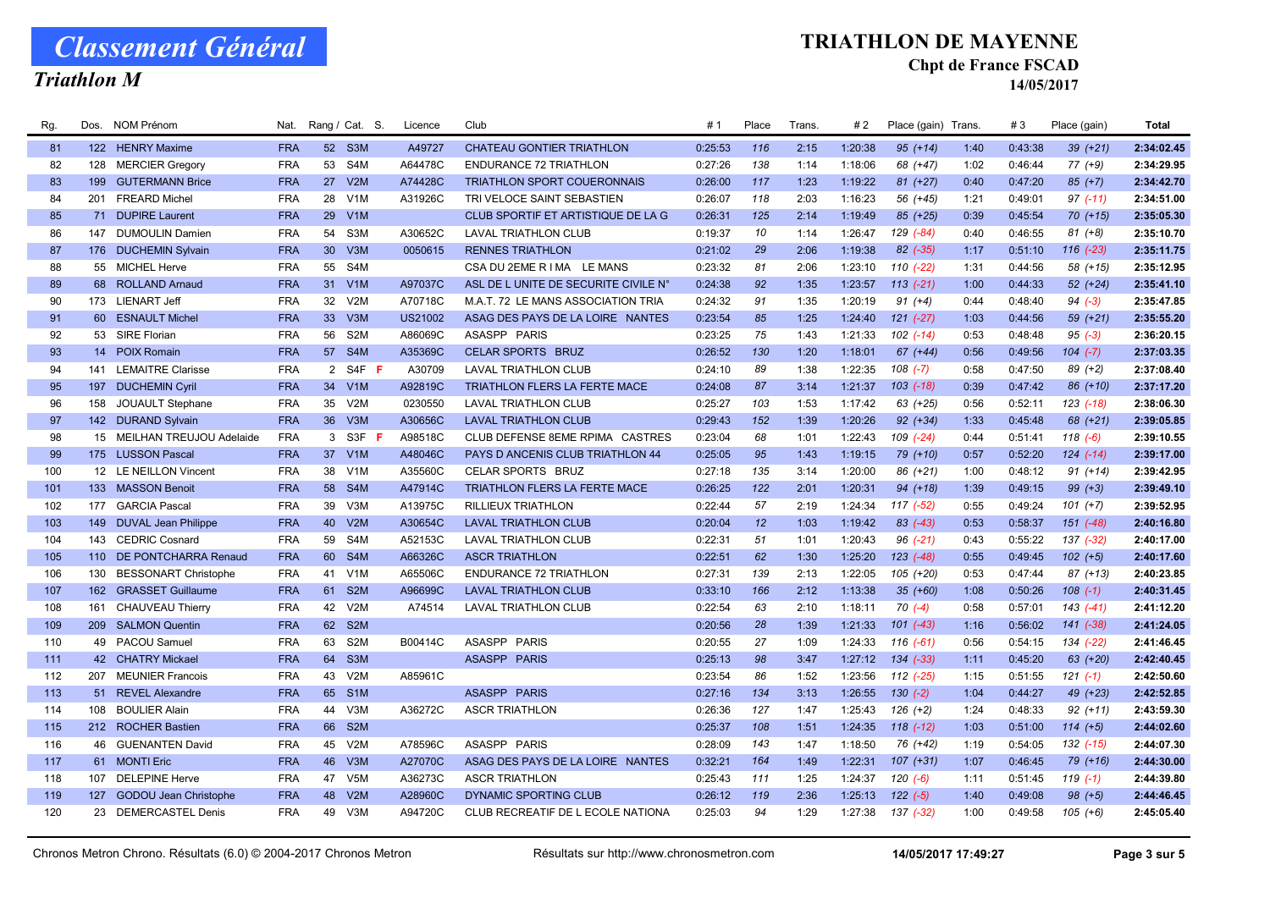Triathlon M

### TRIATHLON DE MAYENNE

#### Chpt de France FSCAD

| Rg. | Dos. | <b>NOM Prénom</b>            | Nat.       |                 | Rang / Cat. S.   | Licence        | Club                                 | #1      | Place | Trans. | #2      | Place (gain) Trans. |      | #3      | Place (gain)  | <b>Total</b> |
|-----|------|------------------------------|------------|-----------------|------------------|----------------|--------------------------------------|---------|-------|--------|---------|---------------------|------|---------|---------------|--------------|
| 81  |      | 122 HENRY Maxime             | <b>FRA</b> |                 | 52 S3M           | A49727         | CHATEAU GONTIER TRIATHLON            | 0:25:53 | 116   | 2:15   | 1:20:38 | $95 (+14)$          | 1:40 | 0:43:38 | $39 (+21)$    | 2:34:02.45   |
| 82  |      | 128 MERCIER Gregory          | <b>FRA</b> |                 | 53 S4M           | A64478C        | <b>ENDURANCE 72 TRIATHLON</b>        | 0:27:26 | 138   | 1:14   | 1:18:06 | 68 (+47)            | 1:02 | 0:46:44 | $77(+9)$      | 2:34:29.95   |
| 83  | 199  | <b>GUTERMANN Brice</b>       | <b>FRA</b> | 27              | V2M              | A74428C        | <b>TRIATHLON SPORT COUERONNAIS</b>   | 0:26:00 | 117   | 1:23   | 1:19:22 | $81 (+27)$          | 0:40 | 0:47:20 | $85 (+7)$     | 2:34:42.70   |
| 84  | 201  | <b>FREARD Michel</b>         | <b>FRA</b> | 28              | V <sub>1</sub> M | A31926C        | TRI VELOCE SAINT SEBASTIEN           | 0:26:07 | 118   | 2:03   | 1:16:23 | 56 (+45)            | 1:21 | 0:49:01 | $97$ (-11)    | 2:34:51.00   |
| 85  | 71   | <b>DUPIRE Laurent</b>        | <b>FRA</b> | 29              | V1M              |                | CLUB SPORTIF ET ARTISTIQUE DE LA G   | 0:26:31 | 125   | 2:14   | 1:19:49 | 85 (+25)            | 0:39 | 0:45:54 | $70(+15)$     | 2:35:05.30   |
| 86  |      | 147 DUMOULIN Damien          | <b>FRA</b> | 54              | S3M              | A30652C        | <b>LAVAL TRIATHLON CLUB</b>          | 0:19:37 | 10    | 1:14   | 1:26:47 | $129$ $(-84)$       | 0:40 | 0:46:55 | $81 (+8)$     | 2:35:10.70   |
| 87  |      | 176 DUCHEMIN Sylvain         | <b>FRA</b> | 30 <sup>°</sup> | V3M              | 0050615        | <b>RENNES TRIATHLON</b>              | 0:21:02 | 29    | 2:06   | 1:19:38 | $82$ $(-35)$        | 1:17 | 0:51:10 | 116 (-23)     | 2:35:11.75   |
| 88  |      | 55 MICHEL Herve              | <b>FRA</b> | 55              | S4M              |                | CSA DU 2EME R I MA LE MANS           | 0:23:32 | 81    | 2:06   | 1:23:10 | $110(-22)$          | 1:31 | 0:44:56 | 58 (+15)      | 2:35:12.95   |
| 89  |      | 68 ROLLAND Arnaud            | <b>FRA</b> |                 | 31 V1M           | A97037C        | ASL DE L UNITE DE SECURITE CIVILE N° | 0:24:38 | 92    | 1:35   | 1:23:57 | $113(-21)$          | 1:00 | 0:44:33 | $52 (+24)$    | 2:35:41.10   |
| 90  |      | 173 LIENART Jeff             | <b>FRA</b> | 32 <sup>2</sup> | V2M              | A70718C        | M.A.T. 72 LE MANS ASSOCIATION TRIA   | 0:24:32 | 91    | 1:35   | 1:20:19 | $91 (+4)$           | 0:44 | 0:48:40 | $94 (-3)$     | 2:35:47.85   |
| 91  |      | 60 ESNAULT Michel            | <b>FRA</b> | 33              | V3M              | <b>US21002</b> | ASAG DES PAYS DE LA LOIRE NANTES     | 0:23:54 | 85    | 1:25   | 1:24:40 | $121 (-27)$         | 1:03 | 0:44:56 | $59(+21)$     | 2:35:55.20   |
| 92  |      | 53 SIRE Florian              | <b>FRA</b> | 56              | S <sub>2</sub> M | A86069C        | ASASPP PARIS                         | 0:23:25 | 75    | 1:43   | 1:21:33 | $102$ $(-14)$       | 0:53 | 0:48:48 | $95(-3)$      | 2:36:20.15   |
| 93  | 14   | <b>POIX Romain</b>           | <b>FRA</b> | 57              | S4M              | A35369C        | <b>CELAR SPORTS BRUZ</b>             | 0:26:52 | 130   | 1:20   | 1:18:01 | $67 (+44)$          | 0:56 | 0:49:56 | $104$ $(-7)$  | 2:37:03.35   |
| 94  | 141  | <b>LEMAITRE Clarisse</b>     | <b>FRA</b> |                 | 2 S4F F          | A30709         | <b>LAVAL TRIATHLON CLUB</b>          | 0:24:10 | 89    | 1:38   | 1:22:35 | $108$ $(-7)$        | 0:58 | 0:47:50 | $89 (+2)$     | 2:37:08.40   |
| 95  |      | 197 DUCHEMIN Cyril           | <b>FRA</b> |                 | 34 V1M           | A92819C        | TRIATHLON FLERS LA FERTE MACE        | 0:24:08 | 87    | 3:14   | 1:21:37 | $103$ $(-18)$       | 0:39 | 0:47:42 | 86 (+10)      | 2:37:17.20   |
| 96  |      | 158 JOUAULT Stephane         | <b>FRA</b> | 35              | V2M              | 0230550        | <b>LAVAL TRIATHLON CLUB</b>          | 0:25:27 | 103   | 1:53   | 1:17:42 | 63 (+25)            | 0:56 | 0:52:11 | $123( -18)$   | 2:38:06.30   |
| 97  |      | 142 DURAND Sylvain           | <b>FRA</b> |                 | 36 V3M           | A30656C        | <b>LAVAL TRIATHLON CLUB</b>          | 0:29:43 | 152   | 1:39   | 1:20:26 | $92 (+34)$          | 1:33 | 0:45:48 | 68 (+21)      | 2:39:05.85   |
| 98  |      | 15 MEILHAN TREUJOU Adelaide  | <b>FRA</b> | 3               | S3F F            | A98518C        | CLUB DEFENSE 8EME RPIMA CASTRES      | 0:23:04 | 68    | 1:01   | 1:22:43 | 109 (-24)           | 0:44 | 0:51:41 | $118(-6)$     | 2:39:10.55   |
| 99  |      | 175 LUSSON Pascal            | <b>FRA</b> |                 | 37 V1M           | A48046C        | PAYS D ANCENIS CLUB TRIATHLON 44     | 0:25:05 | 95    | 1:43   | 1:19:15 | 79 (+10)            | 0:57 | 0:52:20 | $124$ $(-14)$ | 2:39:17.00   |
| 100 |      | 12 LE NEILLON Vincent        | <b>FRA</b> |                 | 38 V1M           | A35560C        | <b>CELAR SPORTS BRUZ</b>             | 0:27:18 | 135   | 3:14   | 1:20:00 | 86 (+21)            | 1:00 | 0:48:12 | $91 (+14)$    | 2:39:42.95   |
| 101 |      | 133 MASSON Benoit            | <b>FRA</b> | 58              | S <sub>4</sub> M | A47914C        | TRIATHLON FLERS LA FERTE MACE        | 0:26:25 | 122   | 2:01   | 1:20:31 | 94 (+18)            | 1:39 | 0:49:15 | $99 (+3)$     | 2:39:49.10   |
| 102 |      | 177 GARCIA Pascal            | <b>FRA</b> | 39              | V3M              | A13975C        | RILLIEUX TRIATHLON                   | 0:22:44 | 57    | 2:19   | 1:24:34 | $117(-52)$          | 0:55 | 0:49:24 | $101 (+7)$    | 2:39:52.95   |
| 103 |      | 149 DUVAL Jean Philippe      | <b>FRA</b> | 40              | V2M              | A30654C        | <b>LAVAL TRIATHLON CLUB</b>          | 0:20:04 | 12    | 1:03   | 1:19:42 | $83$ $(-43)$        | 0:53 | 0:58:37 | 151 (-48)     | 2:40:16.80   |
| 104 | 143  | <b>CEDRIC Cosnard</b>        | <b>FRA</b> | 59              | S4M              | A52153C        | <b>LAVAL TRIATHLON CLUB</b>          | 0:22:31 | 51    | 1:01   | 1:20:43 | $96$ $(-21)$        | 0:43 | 0:55:22 | 137 (-32)     | 2:40:17.00   |
| 105 |      | 110 DE PONTCHARRA Renaud     | <b>FRA</b> |                 | 60 S4M           | A66326C        | <b>ASCR TRIATHLON</b>                | 0:22:51 | 62    | 1:30   | 1:25:20 | 123 (-48)           | 0:55 | 0:49:45 | $102 (+5)$    | 2:40:17.60   |
| 106 |      | 130 BESSONART Christophe     | <b>FRA</b> | 41              | V1M              | A65506C        | ENDURANCE 72 TRIATHLON               | 0:27:31 | 139   | 2:13   | 1:22:05 | $105 (+20)$         | 0:53 | 0:47:44 | $87 (+13)$    | 2:40:23.85   |
| 107 |      | 162 GRASSET Guillaume        | <b>FRA</b> | 61              | S <sub>2</sub> M | A96699C        | <b>LAVAL TRIATHLON CLUB</b>          | 0:33:10 | 166   | 2:12   | 1:13:38 | $35 (+60)$          | 1:08 | 0:50:26 | $108$ $(-1)$  | 2:40:31.45   |
| 108 | 161  | <b>CHAUVEAU Thierry</b>      | <b>FRA</b> | 42              | V2M              | A74514         | <b>LAVAL TRIATHLON CLUB</b>          | 0:22:54 | 63    | 2:10   | 1:18:11 | $70( -4)$           | 0:58 | 0:57:01 | $143( -41)$   | 2:41:12.20   |
| 109 |      | 209 SALMON Quentin           | <b>FRA</b> |                 | 62 S2M           |                |                                      | 0:20:56 | 28    | 1:39   | 1:21:33 | $101$ $(-43)$       | 1:16 | 0:56:02 | 141 (-38)     | 2:41:24.05   |
| 110 |      | 49 PACOU Samuel              | <b>FRA</b> | 63              | S2M              | B00414C        | ASASPP PARIS                         | 0:20:55 | 27    | 1:09   | 1:24:33 | $116(-61)$          | 0:56 | 0:54:15 | 134 (-22)     | 2:41:46.45   |
| 111 |      | 42 CHATRY Mickael            | <b>FRA</b> | 64              | S <sub>3</sub> M |                | ASASPP PARIS                         | 0:25:13 | 98    | 3:47   | 1:27:12 | $134 (-33)$         | 1:11 | 0:45:20 | $63 (+20)$    | 2:42:40.45   |
| 112 |      | 207 MEUNIER Francois         | <b>FRA</b> | 43              | V2M              | A85961C        |                                      | 0:23:54 | 86    | 1:52   | 1:23:56 | $112$ $(-25)$       | 1:15 | 0:51:55 | $121 (-1)$    | 2:42:50.60   |
| 113 |      | 51 REVEL Alexandre           | <b>FRA</b> |                 | 65 S1M           |                | ASASPP PARIS                         | 0:27:16 | 134   | 3:13   | 1:26:55 | $130(-2)$           | 1:04 | 0:44:27 | 49 (+23)      | 2:42:52.85   |
| 114 | 108  | <b>BOULIER Alain</b>         | <b>FRA</b> | 44              | V3M              | A36272C        | <b>ASCR TRIATHLON</b>                | 0:26:36 | 127   | 1:47   | 1:25:43 | $126 (+2)$          | 1:24 | 0:48:33 | $92 (+11)$    | 2:43:59.30   |
| 115 |      | 212 ROCHER Bastien           | <b>FRA</b> |                 | 66 S2M           |                |                                      | 0:25:37 | 108   | 1:51   | 1:24:35 | $118$ $(-12)$       | 1:03 | 0:51:00 | $114 (+5)$    | 2:44:02.60   |
| 116 |      | 46 GUENANTEN David           | <b>FRA</b> |                 | 45 V2M           | A78596C        | ASASPP PARIS                         | 0:28:09 | 143   | 1:47   | 1:18:50 | 76 (+42)            | 1:19 | 0:54:05 | $132$ $(-15)$ | 2:44:07.30   |
| 117 |      | 61 MONTI Eric                | <b>FRA</b> | 46              | V3M              | A27070C        | ASAG DES PAYS DE LA LOIRE NANTES     | 0:32:21 | 164   | 1:49   | 1:22:31 | $107 (+31)$         | 1:07 | 0:46:45 | 79 (+16)      | 2:44:30.00   |
| 118 | 107  | <b>DELEPINE Herve</b>        | <b>FRA</b> | 47              | V5M              | A36273C        | <b>ASCR TRIATHLON</b>                | 0:25:43 | 111   | 1:25   | 1:24:37 | $120(-6)$           | 1:11 | 0:51:45 | $119(-1)$     | 2:44:39.80   |
| 119 | 127  | <b>GODOU Jean Christophe</b> | <b>FRA</b> | 48              | V2M              | A28960C        | DYNAMIC SPORTING CLUB                | 0:26:12 | 119   | 2:36   | 1:25:13 | $122 (-5)$          | 1:40 | 0:49:08 | $98 (+5)$     | 2:44:46.45   |
| 120 |      | 23 DEMERCASTEL Denis         | <b>FRA</b> | 49              | V3M              | A94720C        | CLUB RECREATIF DE L ECOLE NATIONA    | 0:25:03 | 94    | 1:29   | 1:27:38 | 137 (-32)           | 1:00 | 0:49:58 | $105 (+6)$    | 2:45:05.40   |
|     |      |                              |            |                 |                  |                |                                      |         |       |        |         |                     |      |         |               |              |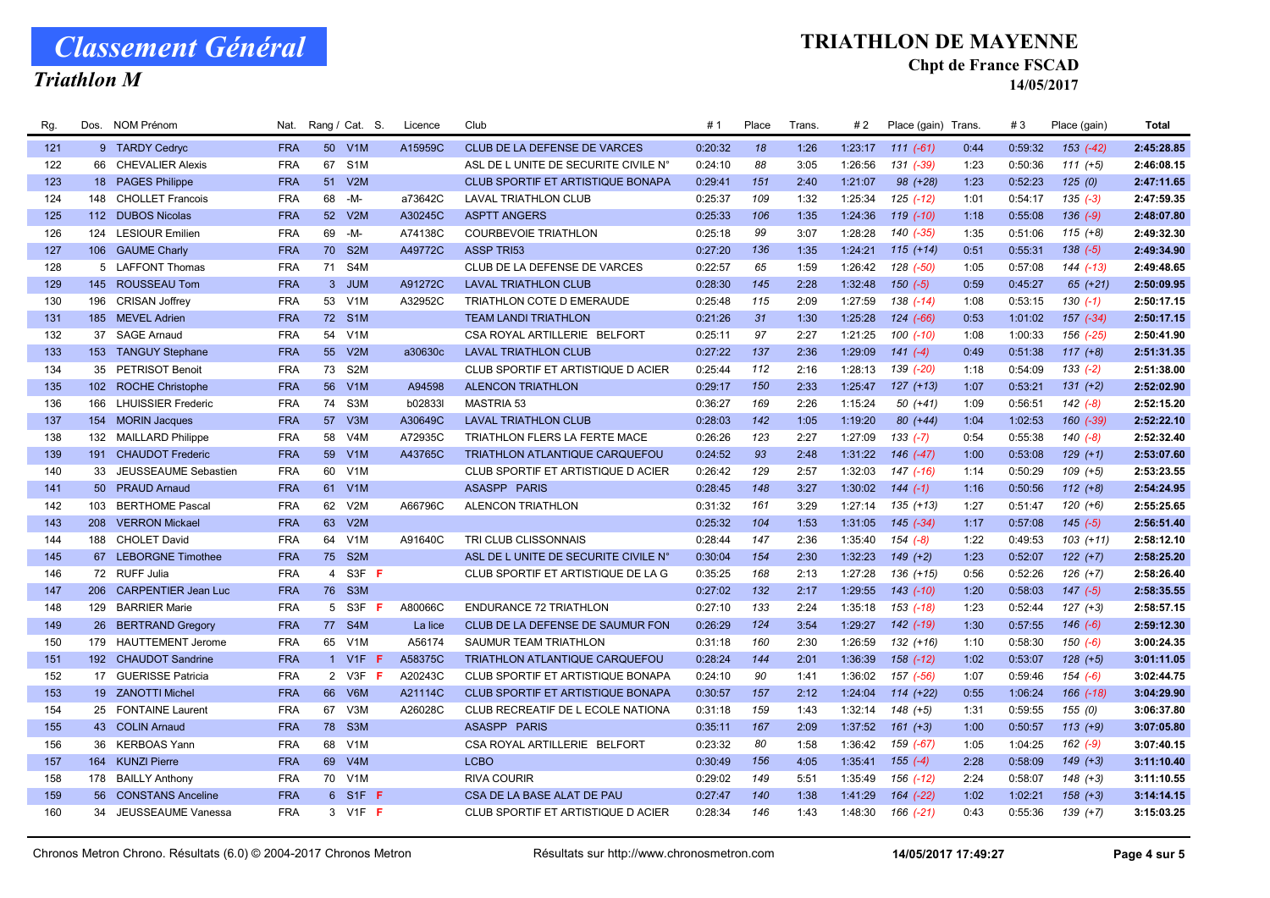Triathlon M

### TRIATHLON DE MAYENNE

#### Chpt de France FSCAD

| Rg. | Dos. | <b>NOM Prénom</b>         | Nat.       |                | Rang / Cat. S.   | Licence | Club                                     | #1      | Place | Trans. | #2      | Place (gain)  | Trans. | #3      | Place (gain)  | <b>Total</b> |
|-----|------|---------------------------|------------|----------------|------------------|---------|------------------------------------------|---------|-------|--------|---------|---------------|--------|---------|---------------|--------------|
| 121 |      | 9 TARDY Cedryc            | <b>FRA</b> |                | 50 V1M           | A15959C | CLUB DE LA DEFENSE DE VARCES             | 0:20:32 | 18    | 1:26   | 1:23:17 | $111 (-61)$   | 0:44   | 0:59:32 | $153$ $(-42)$ | 2:45:28.85   |
| 122 |      | 66 CHEVALIER Alexis       | <b>FRA</b> | 67             | S <sub>1</sub> M |         | ASL DE L UNITE DE SECURITE CIVILE N°     | 0:24:10 | 88    | 3:05   | 1:26:56 | 131 (-39)     | 1:23   | 0:50:36 | $111 (+5)$    | 2:46:08.15   |
| 123 |      | 18 PAGES Philippe         | <b>FRA</b> | 51             | V2M              |         | <b>CLUB SPORTIF ET ARTISTIQUE BONAPA</b> | 0:29:41 | 151   | 2:40   | 1:21:07 | $98 (+28)$    | 1:23   | 0:52:23 | 125(0)        | 2:47:11.65   |
| 124 | 148  | <b>CHOLLET Francois</b>   | <b>FRA</b> | 68             | -M-              | a73642C | <b>LAVAL TRIATHLON CLUB</b>              | 0:25:37 | 109   | 1:32   | 1:25:34 | 125 (-12)     | 1:01   | 0:54:17 | $135(-3)$     | 2:47:59.35   |
| 125 |      | 112 DUBOS Nicolas         | <b>FRA</b> | 52             | V2M              | A30245C | <b>ASPTT ANGERS</b>                      | 0:25:33 | 106   | 1:35   | 1:24:36 | $119( -10)$   | 1:18   | 0:55:08 | $136 (-9)$    | 2:48:07.80   |
| 126 |      | 124 LESIOUR Emilien       | <b>FRA</b> | 69             | $-M -$           | A74138C | <b>COURBEVOIE TRIATHLON</b>              | 0:25:18 | 99    | 3:07   | 1:28:28 | 140 (-35)     | 1:35   | 0:51:06 | $115 (+8)$    | 2:49:32.30   |
| 127 |      | 106 GAUME Charly          | <b>FRA</b> |                | 70 S2M           | A49772C | <b>ASSP TRI53</b>                        | 0:27:20 | 136   | 1:35   | 1:24:21 | $115 (+14)$   | 0:51   | 0:55:31 | $138 (-5)$    | 2:49:34.90   |
| 128 |      | 5 LAFFONT Thomas          | <b>FRA</b> | 71             | S4M              |         | CLUB DE LA DEFENSE DE VARCES             | 0:22:57 | 65    | 1:59   | 1:26:42 | 128 (-50)     | 1:05   | 0:57:08 | 144 (-13)     | 2:49:48.65   |
| 129 |      | 145 ROUSSEAU Tom          | <b>FRA</b> |                | 3 JUM            | A91272C | <b>LAVAL TRIATHLON CLUB</b>              | 0:28:30 | 145   | 2:28   | 1:32:48 | $150(-5)$     | 0:59   | 0:45:27 | $65 (+21)$    | 2:50:09.95   |
| 130 | 196  | <b>CRISAN Joffrey</b>     | <b>FRA</b> |                | 53 V1M           | A32952C | TRIATHLON COTE D EMERAUDE                | 0:25:48 | 115   | 2:09   | 1:27:59 | $138$ $(-14)$ | 1:08   | 0:53:15 | $130(-1)$     | 2:50:17.15   |
| 131 |      | 185 MEVEL Adrien          | <b>FRA</b> |                | 72 S1M           |         | <b>TEAM LANDI TRIATHLON</b>              | 0:21:26 | 31    | 1:30   | 1:25:28 | $124$ $(-66)$ | 0:53   | 1:01:02 | $157$ $(-34)$ | 2:50:17.15   |
| 132 | 37   | <b>SAGE Arnaud</b>        | <b>FRA</b> | 54             | V1M              |         | CSA ROYAL ARTILLERIE BELFORT             | 0:25:11 | 97    | 2:27   | 1:21:25 | $100(-10)$    | 1:08   | 1:00:33 | 156 (-25)     | 2:50:41.90   |
| 133 |      | 153 TANGUY Stephane       | <b>FRA</b> | 55             | V2M              | a30630c | <b>LAVAL TRIATHLON CLUB</b>              | 0:27:22 | 137   | 2:36   | 1:29:09 | $141 (-4)$    | 0:49   | 0:51:38 | $117 (+8)$    | 2:51:31.35   |
| 134 | 35   | <b>PETRISOT Benoit</b>    | <b>FRA</b> | 73             | S <sub>2</sub> M |         | CLUB SPORTIF ET ARTISTIQUE D ACIER       | 0:25:44 | 112   | 2:16   | 1:28:13 | 139 (-20)     | 1:18   | 0:54:09 | $133(-2)$     | 2:51:38.00   |
| 135 |      | 102 ROCHE Christophe      | <b>FRA</b> |                | 56 V1M           | A94598  | <b>ALENCON TRIATHLON</b>                 | 0:29:17 | 150   | 2:33   | 1:25:47 | $127 (+13)$   | 1:07   | 0:53:21 | $131 (+2)$    | 2:52:02.90   |
| 136 | 166  | <b>LHUISSIER Frederic</b> | <b>FRA</b> | 74             | S3M              | b02833l | <b>MASTRIA 53</b>                        | 0:36:27 | 169   | 2:26   | 1:15:24 | $50(+41)$     | 1:09   | 0:56:51 | $142$ $(-8)$  | 2:52:15.20   |
| 137 |      | 154 MORIN Jacques         | <b>FRA</b> | 57             | V3M              | A30649C | <b>LAVAL TRIATHLON CLUB</b>              | 0:28:03 | 142   | 1:05   | 1:19:20 | $80 (+44)$    | 1:04   | 1:02:53 | 160 (-39)     | 2:52:22.10   |
| 138 | 132  | <b>MAILLARD Philippe</b>  | <b>FRA</b> | 58             | V4M              | A72935C | TRIATHLON FLERS LA FERTE MACE            | 0:26:26 | 123   | 2:27   | 1:27:09 | $133(-7)$     | 0:54   | 0:55:38 | $140(-8)$     | 2:52:32.40   |
| 139 | 191  | <b>CHAUDOT Frederic</b>   | <b>FRA</b> | 59             | V1M              | A43765C | TRIATHLON ATLANTIQUE CARQUEFOU           | 0:24:52 | 93    | 2:48   | 1:31:22 | 146 (-47)     | 1:00   | 0:53:08 | $129 (+1)$    | 2:53:07.60   |
| 140 | 33   | JEUSSEAUME Sebastien      | <b>FRA</b> | 60             | V1M              |         | CLUB SPORTIF ET ARTISTIQUE D ACIER       | 0:26:42 | 129   | 2:57   | 1:32:03 | $147$ (-16)   | 1:14   | 0:50:29 | $109 (+5)$    | 2:53:23.55   |
| 141 |      | 50 PRAUD Arnaud           | <b>FRA</b> |                | 61 V1M           |         | <b>ASASPP PARIS</b>                      | 0:28:45 | 148   | 3:27   | 1:30:02 | $144(-1)$     | 1:16   | 0:50:56 | $112 (+8)$    | 2:54:24.95   |
| 142 | 103  | <b>BERTHOME Pascal</b>    | <b>FRA</b> | 62             | V2M              | A66796C | <b>ALENCON TRIATHLON</b>                 | 0:31:32 | 161   | 3:29   | 1:27:14 | $135 (+13)$   | 1:27   | 0:51:47 | $120 (+6)$    | 2:55:25.65   |
| 143 |      | 208 VERRON Mickael        | <b>FRA</b> | 63             | V2M              |         |                                          | 0:25:32 | 104   | 1:53   | 1:31:05 | $145$ $(-34)$ | 1:17   | 0:57:08 | $145$ $(-5)$  | 2:56:51.40   |
| 144 | 188  | <b>CHOLET David</b>       | <b>FRA</b> | 64             | V1M              | A91640C | TRI CLUB CLISSONNAIS                     | 0:28:44 | 147   | 2:36   | 1:35:40 | $154 (-8)$    | 1:22   | 0:49:53 | $103 (+11)$   | 2:58:12.10   |
| 145 |      | 67 LEBORGNE Timothee      | <b>FRA</b> |                | 75 S2M           |         | ASL DE L UNITE DE SECURITE CIVILE N°     | 0:30:04 | 154   | 2:30   | 1:32:23 | $149 (+2)$    | 1:23   | 0:52:07 | $122 (+7)$    | 2:58:25.20   |
| 146 |      | 72 RUFF Julia             | <b>FRA</b> | $\overline{4}$ | S3F F            |         | CLUB SPORTIF ET ARTISTIQUE DE LA G       | 0:35:25 | 168   | 2:13   | 1:27:28 | $136 (+15)$   | 0:56   | 0:52:26 | $126 (+7)$    | 2:58:26.40   |
| 147 |      | 206 CARPENTIER Jean Luc   | <b>FRA</b> |                | 76 S3M           |         |                                          | 0:27:02 | 132   | 2:17   | 1:29:55 | $143$ $(-10)$ | 1:20   | 0:58:03 | $147$ $(-5)$  | 2:58:35.55   |
| 148 | 129  | <b>BARRIER Marie</b>      | <b>FRA</b> | 5              | S3F<br>-F.       | A80066C | <b>ENDURANCE 72 TRIATHLON</b>            | 0:27:10 | 133   | 2:24   | 1:35:18 | 153 (-18)     | 1:23   | 0:52:44 | $127 (+3)$    | 2:58:57.15   |
| 149 | 26   | <b>BERTRAND Gregory</b>   | <b>FRA</b> | 77             | S4M              | La lice | CLUB DE LA DEFENSE DE SAUMUR FON         | 0:26:29 | 124   | 3:54   | 1:29:27 | 142 (-19)     | 1:30   | 0:57:55 | $146(-6)$     | 2:59:12.30   |
| 150 | 179  | <b>HAUTTEMENT Jerome</b>  | <b>FRA</b> |                | 65 V1M           | A56174  | <b>SAUMUR TEAM TRIATHLON</b>             | 0:31:18 | 160   | 2:30   | 1:26:59 | $132 (+16)$   | 1:10   | 0:58:30 | $150(-6)$     | 3:00:24.35   |
| 151 |      | 192 CHAUDOT Sandrine      | <b>FRA</b> |                | 1 V1F $F$        | A58375C | <b>TRIATHLON ATLANTIQUE CARQUEFOU</b>    | 0:28:24 | 144   | 2:01   | 1:36:39 | $158$ $(-12)$ | 1:02   | 0:53:07 | $128 (+5)$    | 3:01:11.05   |
| 152 |      | 17 GUERISSE Patricia      | <b>FRA</b> |                | 2 V3F F          | A20243C | CLUB SPORTIF ET ARTISTIQUE BONAPA        | 0:24:10 | 90    | 1:41   | 1:36:02 | 157 (-56)     | 1:07   | 0:59:46 | $154 (-6)$    | 3:02:44.75   |
| 153 |      | 19 ZANOTTI Michel         | <b>FRA</b> |                | 66 V6M           | A21114C | CLUB SPORTIF ET ARTISTIQUE BONAPA        | 0:30:57 | 157   | 2:12   | 1:24:04 | $114 (+22)$   | 0:55   | 1:06:24 | 166 (-18)     | 3:04:29.90   |
| 154 |      | 25 FONTAINE Laurent       | <b>FRA</b> | 67             | V3M              | A26028C | CLUB RECREATIF DE L ECOLE NATIONA        | 0:31:18 | 159   | 1:43   | 1:32:14 | $148 (+5)$    | 1:31   | 0:59:55 | 155 (0)       | 3:06:37.80   |
| 155 |      | 43 COLIN Arnaud           | <b>FRA</b> |                | 78 S3M           |         | ASASPP PARIS                             | 0:35:11 | 167   | 2:09   | 1:37:52 | $161 (+3)$    | 1:00   | 0:50:57 | $113 (+9)$    | 3:07:05.80   |
| 156 |      | 36 KERBOAS Yann           | <b>FRA</b> | 68             | V1M              |         | CSA ROYAL ARTILLERIE BELFORT             | 0:23:32 | 80    | 1:58   | 1:36:42 | 159 (-67)     | 1:05   | 1:04:25 | $162$ (-9)    | 3:07:40.15   |
| 157 | 164  | <b>KUNZI Pierre</b>       | <b>FRA</b> | 69             | V4M              |         | <b>LCBO</b>                              | 0:30:49 | 156   | 4:05   | 1:35:41 | $155(-4)$     | 2:28   | 0:58:09 | $149 (+3)$    | 3:11:10.40   |
| 158 |      | 178 BAILLY Anthony        | <b>FRA</b> | 70             | V1M              |         | <b>RIVA COURIR</b>                       | 0:29:02 | 149   | 5:51   | 1:35:49 | 156 (-12)     | 2:24   | 0:58:07 | $148 (+3)$    | 3:11:10.55   |
| 159 | 56   | <b>CONSTANS Anceline</b>  | <b>FRA</b> |                | 6 S1F F          |         | CSA DE LA BASE ALAT DE PAU               | 0:27:47 | 140   | 1:38   | 1:41:29 | 164 (-22)     | 1:02   | 1:02:21 | $158 (+3)$    | 3:14:14.15   |
| 160 | 34   | JEUSSEAUME Vanessa        | <b>FRA</b> |                | 3 V1F F          |         | CLUB SPORTIF ET ARTISTIQUE D ACIER       | 0:28:34 | 146   | 1:43   | 1:48:30 | 166 (-21)     | 0:43   | 0:55:36 | $139 (+7)$    | 3:15:03.25   |
|     |      |                           |            |                |                  |         |                                          |         |       |        |         |               |        |         |               |              |